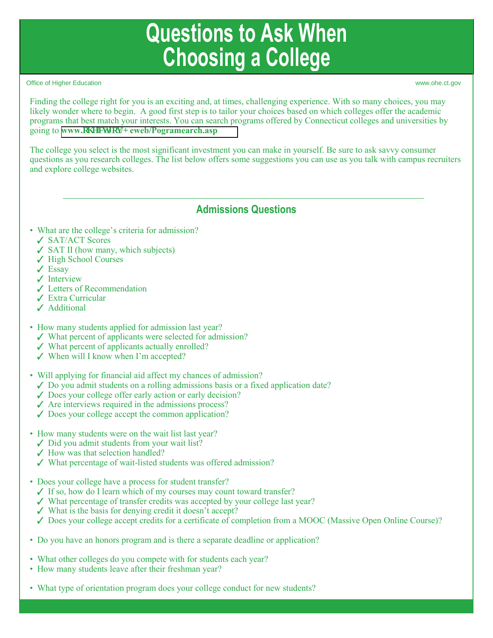# **Questions to Ask When Choosing a College**

Office of Higher Education www.ohe.ct.gov

Finding the college right for you is an exciting and, at times, challenging experience. With so many choices, you may likely wonder where to begin. A good first step is to tailor your choices based on which colleges offer the academic programs that best match your interests. You can search programs offered by Connecticut colleges and universities by going to **www.qj glevil qx/J** [eweb/Pogramearch.asp](https://www.ohe.ct.gov/HEWeb/programsearch.asp)

The college you select is the most significant investment you can make in yourself. Be sure to ask savvy consumer questions as you research colleges. The list below offers some suggestions you can use as you talk with campus recruiters and explore college websites.

## **Admissions Questions**

- What are the college's criteria for admission?
	- SAT/ACT Scores
	- $\checkmark$  SAT II (how many, which subjects)
	- ✔ High School Courses
	- $\angle$  Essay
	- $\checkmark$  Interview
	- Letters of Recommendation
	- Extra Curricular
	- Additional
- How many students applied for admission last year?
	- $\checkmark$  What percent of applicants were selected for admission?
	- $\checkmark$  What percent of applicants actually enrolled?
	- When will I know when I'm accepted?
- Will applying for financial aid affect my chances of admission?
	- $\checkmark$  Do you admit students on a rolling admissions basis or a fixed application date?
	- $\checkmark$  Does your college offer early action or early decision?
	- $\angle$  Are interviews required in the admissions process?
	- $\checkmark$  Does your college accept the common application?
- How many students were on the wait list last year?
	- $\checkmark$  Did you admit students from your wait list?
	- $\checkmark$  How was that selection handled?
	- What percentage of wait-listed students was offered admission?
- Does your college have a process for student transfer?
	- $\checkmark$  If so, how do I learn which of my courses may count toward transfer?
	- What percentage of transfer credits was accepted by your college last year?
	- $\checkmark$  What is the basis for denying credit it doesn't accept?
	- Does your college accept credits for a certificate of completion from a MOOC (Massive Open Online Course)?
- Do you have an honors program and is there a separate deadline or application?
- What other colleges do you compete with for students each year?
- How many students leave after their freshman year?
- What type of orientation program does your college conduct for new students?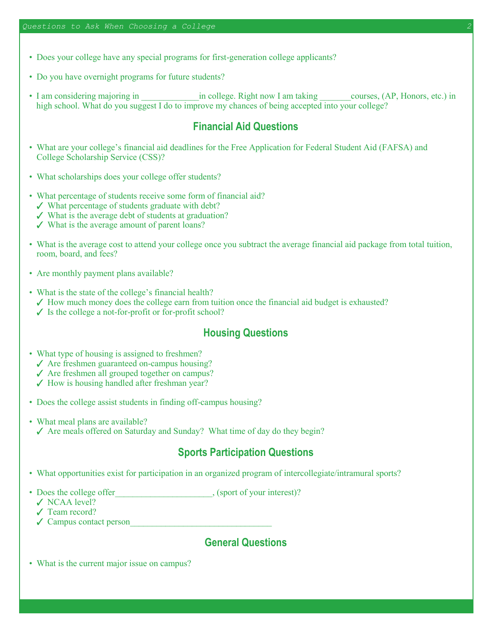- Does your college have any special programs for first-generation college applicants?
- Do you have overnight programs for future students?
- I am considering majoring in  $\qquad \qquad$  in college. Right now I am taking  $\qquad \qquad \text{course}, (AP, Honors, etc.)$  in high school. What do you suggest I do to improve my chances of being accepted into your college?

## **Financial Aid Questions**

- What are your college's financial aid deadlines for the Free Application for Federal Student Aid (FAFSA) and College Scholarship Service (CSS)?
- What scholarships does your college offer students?
- What percentage of students receive some form of financial aid?
	- $\checkmark$  What percentage of students graduate with debt?
	- $\checkmark$  What is the average debt of students at graduation?
	- $\checkmark$  What is the average amount of parent loans?
- What is the average cost to attend your college once you subtract the average financial aid package from total tuition, room, board, and fees?
- Are monthly payment plans available?
- What is the state of the college's financial health?
- $\checkmark$  How much money does the college earn from tuition once the financial aid budget is exhausted?
- $\checkmark$  Is the college a not-for-profit or for-profit school?

## **Housing Questions**

- What type of housing is assigned to freshmen?
	- $\angle$  Are freshmen guaranteed on-campus housing?
	- $\angle$  Are freshmen all grouped together on campus?
	- $\checkmark$  How is housing handled after freshman year?
- Does the college assist students in finding off-campus housing?
- What meal plans are available?  $\checkmark$  Are meals offered on Saturday and Sunday? What time of day do they begin?

#### **Sports Participation Questions**

- What opportunities exist for participation in an organized program of intercollegiate/intramural sports?
- Does the college offer states and set of your interest)?
- √ NCAA level?
- Team record?
- $\checkmark$  Campus contact person

## **General Questions**

• What is the current major issue on campus?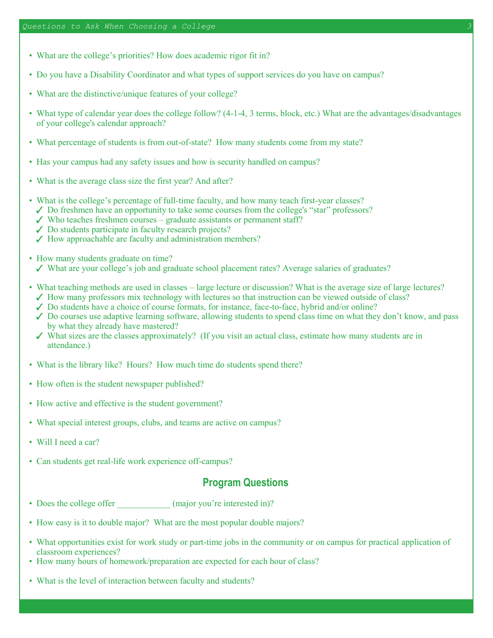- What are the college's priorities? How does academic rigor fit in?
- Do you have a Disability Coordinator and what types of support services do you have on campus?
- What are the distinctive/unique features of your college?
- What type of calendar year does the college follow? (4-1-4, 3 terms, block, etc.) What are the advantages/disadvantages of your college's calendar approach?
- What percentage of students is from out-of-state? How many students come from my state?
- Has your campus had any safety issues and how is security handled on campus?
- What is the average class size the first year? And after?
- What is the college's percentage of full-time faculty, and how many teach first-year classes?
	- $\checkmark$  Do freshmen have an opportunity to take some courses from the college's "star" professors?
	- $\checkmark$  Who teaches freshmen courses graduate assistants or permanent staff?
	- ◆ Do students participate in faculty research projects?
	- How approachable are faculty and administration members?
- How many students graduate on time?
	- What are your college's job and graduate school placement rates? Average salaries of graduates?
- What teaching methods are used in classes large lecture or discussion? What is the average size of large lectures?
	- $\checkmark$  How many professors mix technology with lectures so that instruction can be viewed outside of class?
	- $\checkmark$  Do students have a choice of course formats, for instance, face-to-face, hybrid and/or online?
	- $\checkmark$  Do courses use adaptive learning software, allowing students to spend class time on what they don't know, and pass by what they already have mastered?
	- What sizes are the classes approximately? (If you visit an actual class, estimate how many students are in attendance.)
- What is the library like? Hours? How much time do students spend there?
- How often is the student newspaper published?
- How active and effective is the student government?
- What special interest groups, clubs, and teams are active on campus?
- Will I need a car?
- Can students get real-life work experience off-campus?

#### **Program Questions**

- Does the college offer (major you're interested in)?
- How easy is it to double major? What are the most popular double majors?
- What opportunities exist for work study or part-time jobs in the community or on campus for practical application of classroom experiences?
- How many hours of homework/preparation are expected for each hour of class?
- What is the level of interaction between faculty and students?